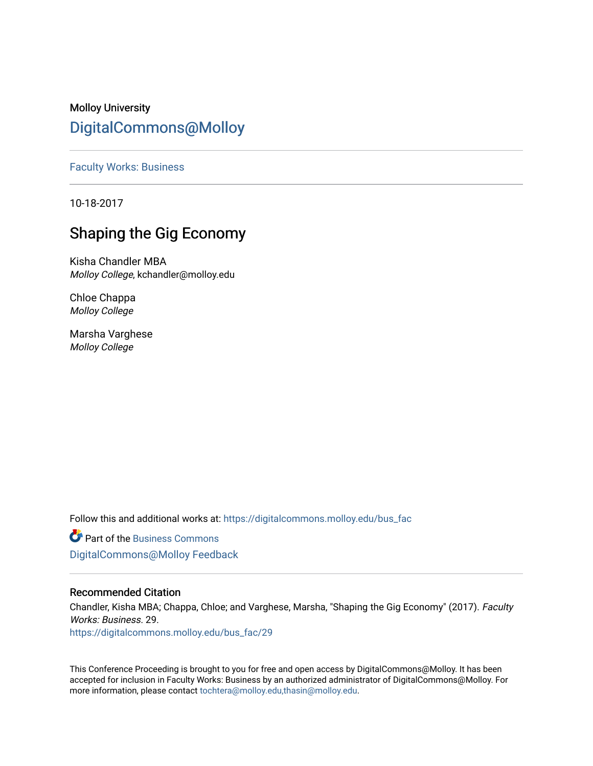Molloy University [DigitalCommons@Molloy](https://digitalcommons.molloy.edu/) 

[Faculty Works: Business](https://digitalcommons.molloy.edu/bus_fac) 

10-18-2017

# Shaping the Gig Economy

Kisha Chandler MBA Molloy College, kchandler@molloy.edu

Chloe Chappa Molloy College

Marsha Varghese Molloy College

Follow this and additional works at: [https://digitalcommons.molloy.edu/bus\\_fac](https://digitalcommons.molloy.edu/bus_fac?utm_source=digitalcommons.molloy.edu%2Fbus_fac%2F29&utm_medium=PDF&utm_campaign=PDFCoverPages)

**C** Part of the [Business Commons](https://network.bepress.com/hgg/discipline/622?utm_source=digitalcommons.molloy.edu%2Fbus_fac%2F29&utm_medium=PDF&utm_campaign=PDFCoverPages) [DigitalCommons@Molloy Feedback](https://molloy.libwizard.com/f/dcfeedback)

# Recommended Citation

Chandler, Kisha MBA; Chappa, Chloe; and Varghese, Marsha, "Shaping the Gig Economy" (2017). Faculty Works: Business. 29.

[https://digitalcommons.molloy.edu/bus\\_fac/29](https://digitalcommons.molloy.edu/bus_fac/29?utm_source=digitalcommons.molloy.edu%2Fbus_fac%2F29&utm_medium=PDF&utm_campaign=PDFCoverPages) 

This Conference Proceeding is brought to you for free and open access by DigitalCommons@Molloy. It has been accepted for inclusion in Faculty Works: Business by an authorized administrator of DigitalCommons@Molloy. For more information, please contact [tochtera@molloy.edu,thasin@molloy.edu.](mailto:tochtera@molloy.edu,thasin@molloy.edu)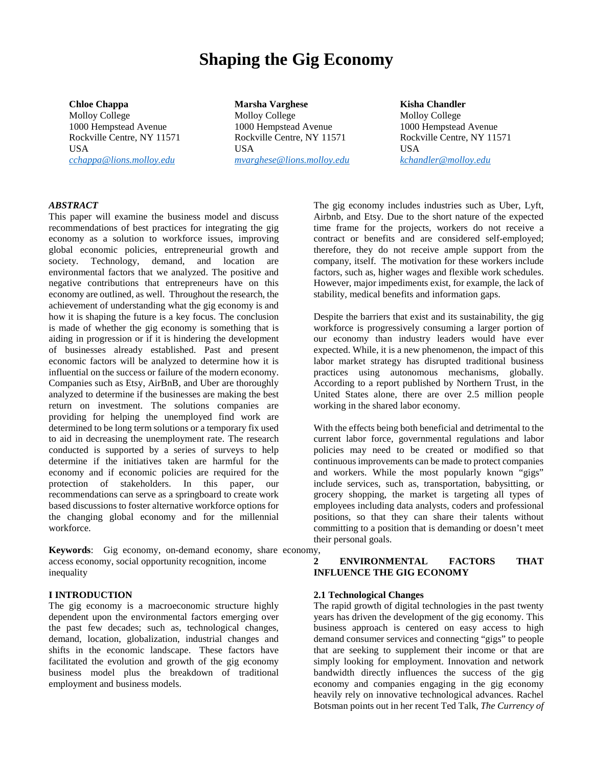# **Shaping the Gig Economy**

**Chloe Chappa** Molloy College 1000 Hempstead Avenue Rockville Centre, NY 11571 USA *[cchappa@lions.molloy.edu](mailto:cchappa@lions.molloy.edu)*

**Marsha Varghese** Molloy College 1000 Hempstead Avenue Rockville Centre, NY 11571 USA *[mvarghese@lions.molloy.edu](mailto:mvarghese@lions.molloy.edu)*

#### **Kisha Chandler**

Molloy College 1000 Hempstead Avenue Rockville Centre, NY 11571 USA *[kchandler@molloy.edu](mailto:kchandler@molloy.edu)*

## *ABSTRACT*

This paper will examine the business model and discuss recommendations of best practices for integrating the gig economy as a solution to workforce issues, improving global economic policies, entrepreneurial growth and society. Technology, demand, and location are environmental factors that we analyzed. The positive and negative contributions that entrepreneurs have on this economy are outlined, as well. Throughout the research, the achievement of understanding what the gig economy is and how it is shaping the future is a key focus. The conclusion is made of whether the gig economy is something that is aiding in progression or if it is hindering the development of businesses already established. Past and present economic factors will be analyzed to determine how it is influential on the success or failure of the modern economy. Companies such as Etsy, AirBnB, and Uber are thoroughly analyzed to determine if the businesses are making the best return on investment. The solutions companies are providing for helping the unemployed find work are determined to be long term solutions or a temporary fix used to aid in decreasing the unemployment rate. The research conducted is supported by a series of surveys to help determine if the initiatives taken are harmful for the economy and if economic policies are required for the protection of stakeholders. In this paper, our recommendations can serve as a springboard to create work based discussions to foster alternative workforce options for the changing global economy and for the millennial workforce.

**Keywords**: Gig economy, on-demand economy, share economy, access economy, social opportunity recognition, income inequality

#### **I INTRODUCTION**

The gig economy is a macroeconomic structure highly dependent upon the environmental factors emerging over the past few decades; such as, technological changes, demand, location, globalization, industrial changes and shifts in the economic landscape. These factors have facilitated the evolution and growth of the gig economy business model plus the breakdown of traditional employment and business models.

The gig economy includes industries such as Uber, Lyft, Airbnb, and Etsy. Due to the short nature of the expected time frame for the projects, workers do not receive a contract or benefits and are considered self-employed; therefore, they do not receive ample support from the company, itself. The motivation for these workers include factors, such as, higher wages and flexible work schedules. However, major impediments exist, for example, the lack of stability, medical benefits and information gaps.

Despite the barriers that exist and its sustainability, the gig workforce is progressively consuming a larger portion of our economy than industry leaders would have ever expected. While, it is a new phenomenon, the impact of this labor market strategy has disrupted traditional business practices using autonomous mechanisms, globally. According to a report published by Northern Trust, in the United States alone, there are over 2.5 million people working in the shared labor economy.

With the effects being both beneficial and detrimental to the current labor force, governmental regulations and labor policies may need to be created or modified so that continuous improvements can be made to protect companies and workers. While the most popularly known "gigs" include services, such as, transportation, babysitting, or grocery shopping, the market is targeting all types of employees including data analysts, coders and professional positions, so that they can share their talents without committing to a position that is demanding or doesn't meet their personal goals.

# **2 ENVIRONMENTAL FACTORS THAT INFLUENCE THE GIG ECONOMY**

#### **2.1 Technological Changes**

The rapid growth of digital technologies in the past twenty years has driven the development of the gig economy. This business approach is centered on easy access to high demand consumer services and connecting "gigs" to people that are seeking to supplement their income or that are simply looking for employment. Innovation and network bandwidth directly influences the success of the gig economy and companies engaging in the gig economy heavily rely on innovative technological advances. Rachel Botsman points out in her recent Ted Talk, *The Currency of*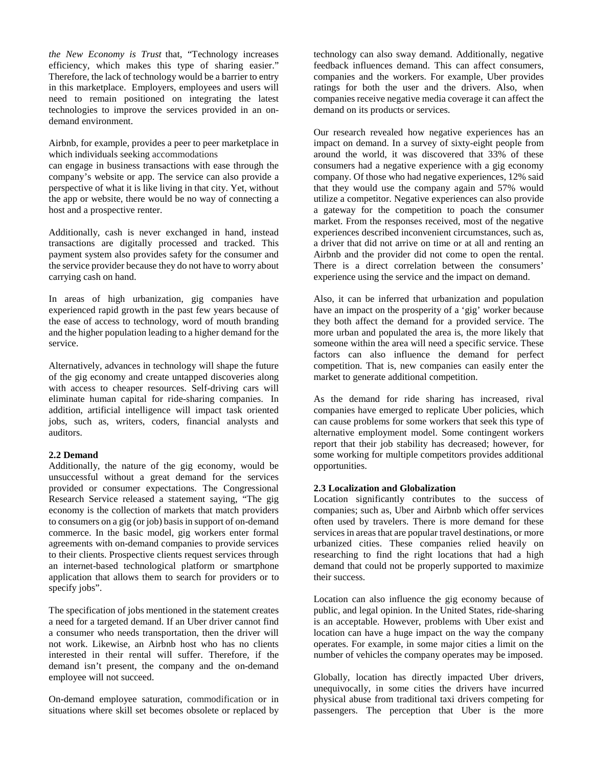*the New Economy is Trust* that, "Technology increases efficiency, which makes this type of sharing easier." Therefore, the lack of technology would be a barrier to entry in this marketplace. Employers, employees and users will need to remain positioned on integrating the latest technologies to improve the services provided in an ondemand environment.

Airbnb, for example, provides a peer to peer marketplace in which individuals seeking accommodations

can engage in business transactions with ease through the company's website or app. The service can also provide a perspective of what it is like living in that city. Yet, without the app or website, there would be no way of connecting a host and a prospective renter.

Additionally, cash is never exchanged in hand, instead transactions are digitally processed and tracked. This payment system also provides safety for the consumer and the service provider because they do not have to worry about carrying cash on hand.

In areas of high urbanization, gig companies have experienced rapid growth in the past few years because of the ease of access to technology, word of mouth branding and the higher population leading to a higher demand for the service.

Alternatively, advances in technology will shape the future of the gig economy and create untapped discoveries along with access to cheaper resources. Self-driving cars will eliminate human capital for ride-sharing companies. In addition, artificial intelligence will impact task oriented jobs, such as, writers, coders, financial analysts and auditors.

## **2.2 Demand**

Additionally, the nature of the gig economy, would be unsuccessful without a great demand for the services provided or consumer expectations. The Congressional Research Service released a statement saying, "The gig economy is the collection of markets that match providers to consumers on a gig (or job) basis in support of on-demand commerce. In the basic model, gig workers enter formal agreements with on-demand companies to provide services to their clients. Prospective clients request services through an internet-based technological platform or smartphone application that allows them to search for providers or to specify jobs".

The specification of jobs mentioned in the statement creates a need for a targeted demand. If an Uber driver cannot find a consumer who needs transportation, then the driver will not work. Likewise, an Airbnb host who has no clients interested in their rental will suffer. Therefore, if the demand isn't present, the company and the on-demand employee will not succeed.

On-demand employee saturation, commodification or in situations where skill set becomes obsolete or replaced by technology can also sway demand. Additionally, negative feedback influences demand. This can affect consumers, companies and the workers. For example, Uber provides ratings for both the user and the drivers. Also, when companies receive negative media coverage it can affect the demand on its products or services.

Our research revealed how negative experiences has an impact on demand. In a survey of sixty-eight people from around the world, it was discovered that 33% of these consumers had a negative experience with a gig economy company. Of those who had negative experiences, 12% said that they would use the company again and 57% would utilize a competitor. Negative experiences can also provide a gateway for the competition to poach the consumer market. From the responses received, most of the negative experiences described inconvenient circumstances, such as, a driver that did not arrive on time or at all and renting an Airbnb and the provider did not come to open the rental. There is a direct correlation between the consumers' experience using the service and the impact on demand.

Also, it can be inferred that urbanization and population have an impact on the prosperity of a 'gig' worker because they both affect the demand for a provided service. The more urban and populated the area is, the more likely that someone within the area will need a specific service. These factors can also influence the demand for perfect competition. That is, new companies can easily enter the market to generate additional competition.

As the demand for ride sharing has increased, rival companies have emerged to replicate Uber policies, which can cause problems for some workers that seek this type of alternative employment model. Some contingent workers report that their job stability has decreased; however, for some working for multiple competitors provides additional opportunities.

## **2.3 Localization and Globalization**

Location significantly contributes to the success of companies; such as, Uber and Airbnb which offer services often used by travelers. There is more demand for these services in areas that are popular travel destinations, or more urbanized cities. These companies relied heavily on researching to find the right locations that had a high demand that could not be properly supported to maximize their success.

Location can also influence the gig economy because of public, and legal opinion. In the United States, ride-sharing is an acceptable. However, problems with Uber exist and location can have a huge impact on the way the company operates. For example, in some major cities a limit on the number of vehicles the company operates may be imposed.

Globally, location has directly impacted Uber drivers, unequivocally, in some cities the drivers have incurred physical abuse from traditional taxi drivers competing for passengers. The perception that Uber is the more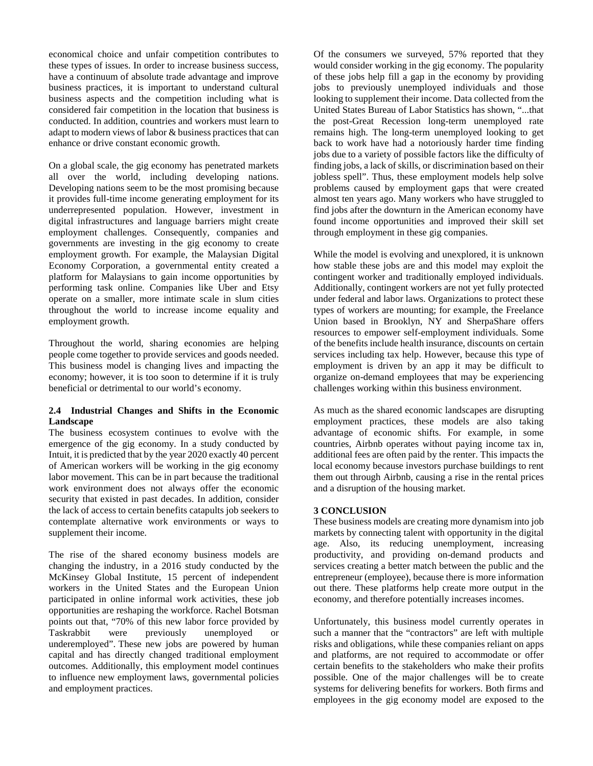economical choice and unfair competition contributes to these types of issues. In order to increase business success, have a continuum of absolute trade advantage and improve business practices, it is important to understand cultural business aspects and the competition including what is considered fair competition in the location that business is conducted. In addition, countries and workers must learn to adapt to modern views of labor & business practices that can enhance or drive constant economic growth.

On a global scale, the gig economy has penetrated markets all over the world, including developing nations. Developing nations seem to be the most promising because it provides full-time income generating employment for its underrepresented population. However, investment in digital infrastructures and language barriers might create employment challenges. Consequently, companies and governments are investing in the gig economy to create employment growth. For example, the Malaysian Digital Economy Corporation, a governmental entity created a platform for Malaysians to gain income opportunities by performing task online. Companies like Uber and Etsy operate on a smaller, more intimate scale in slum cities throughout the world to increase income equality and employment growth.

Throughout the world, sharing economies are helping people come together to provide services and goods needed. This business model is changing lives and impacting the economy; however, it is too soon to determine if it is truly beneficial or detrimental to our world's economy.

## **2.4 Industrial Changes and Shifts in the Economic Landscape**

The business ecosystem continues to evolve with the emergence of the gig economy. In a study conducted by Intuit, it is predicted that by the year 2020 exactly 40 percent of American workers will be working in the gig economy labor movement. This can be in part because the traditional work environment does not always offer the economic security that existed in past decades. In addition, consider the lack of access to certain benefits catapults job seekers to contemplate alternative work environments or ways to supplement their income.

The rise of the shared economy business models are changing the industry, in a 2016 study conducted by the McKinsey Global Institute, 15 percent of independent workers in the United States and the European Union participated in online informal work activities, these job opportunities are reshaping the workforce. Rachel Botsman points out that, "70% of this new labor force provided by Taskrabbit were previously unemployed or underemployed". These new jobs are powered by human capital and has directly changed traditional employment outcomes. Additionally, this employment model continues to influence new employment laws, governmental policies and employment practices.

Of the consumers we surveyed, 57% reported that they would consider working in the gig economy. The popularity of these jobs help fill a gap in the economy by providing jobs to previously unemployed individuals and those looking to supplement their income. Data collected from the United States Bureau of Labor Statistics has shown, "...that the post-Great Recession long-term unemployed rate remains high. The long-term unemployed looking to get back to work have had a notoriously harder time finding jobs due to a variety of possible factors like the difficulty of finding jobs, a lack of skills, or discrimination based on their jobless spell". Thus, these employment models help solve problems caused by employment gaps that were created almost ten years ago. Many workers who have struggled to find jobs after the downturn in the American economy have found income opportunities and improved their skill set through employment in these gig companies.

While the model is evolving and unexplored, it is unknown how stable these jobs are and this model may exploit the contingent worker and traditionally employed individuals. Additionally, contingent workers are not yet fully protected under federal and labor laws. Organizations to protect these types of workers are mounting; for example, the Freelance Union based in Brooklyn, NY and SherpaShare offers resources to empower self-employment individuals. Some of the benefits include health insurance, discounts on certain services including tax help. However, because this type of employment is driven by an app it may be difficult to organize on-demand employees that may be experiencing challenges working within this business environment.

As much as the shared economic landscapes are disrupting employment practices, these models are also taking advantage of economic shifts. For example, in some countries, Airbnb operates without paying income tax in, additional fees are often paid by the renter. This impacts the local economy because investors purchase buildings to rent them out through Airbnb, causing a rise in the rental prices and a disruption of the housing market.

# **3 CONCLUSION**

These business models are creating more dynamism into job markets by connecting talent with opportunity in the digital age. Also, its reducing unemployment, increasing productivity, and providing on-demand products and services creating a better match between the public and the entrepreneur (employee), because there is more information out there. These platforms help create more output in the economy, and therefore potentially increases incomes.

Unfortunately, this business model currently operates in such a manner that the "contractors" are left with multiple risks and obligations, while these companies reliant on apps and platforms, are not required to accommodate or offer certain benefits to the stakeholders who make their profits possible. One of the major challenges will be to create systems for delivering benefits for workers. Both firms and employees in the gig economy model are exposed to the